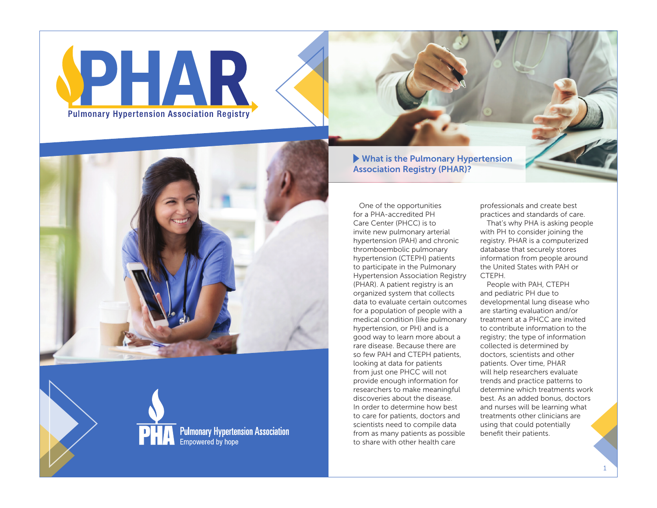



**PHA** Pulmonary Hypertension Association<br>Empowered by hope  What is the Pulmonary Hypertension Association Registry (PHAR)?

One of the opportunities for a PHA-accredited PH Care Center (PHCC) is to invite new pulmonary arterial hypertension (PAH) and chronic thromboembolic pulmonary hypertension (CTEPH) patients to participate in the Pulmonary Hypertension Association Registry (PHAR). A patient registry is an organized system that collects data to evaluate certain outcomes for a population of people with a medical condition (like pulmonary hypertension, or PH) and is a good way to learn more about a rare disease. Because there are so few PAH and CTEPH patients, looking at data for patients from just one PHCC will not provide enough information for researchers to make meaningful discoveries about the disease. In order to determine how best to care for patients, doctors and scientists need to compile data from as many patients as possible to share with other health care

professionals and create best practices and standards of care.

That's why PHA is asking people with PH to consider joining the registry. PHAR is a computerized database that securely stores information from people around the United States with PAH or **CTFPH** 

People with PAH, CTEPH and pediatric PH due to developmental lung disease who are starting evaluation and/or treatment at a PHCC are invited to contribute information to the registry; the type of information collected is determined by doctors, scientists and other patients. Over time, PHAR will help researchers evaluate trends and practice patterns to determine which treatments work best. As an added bonus, doctors and nurses will be learning what treatments other clinicians are using that could potentially benefit their patients.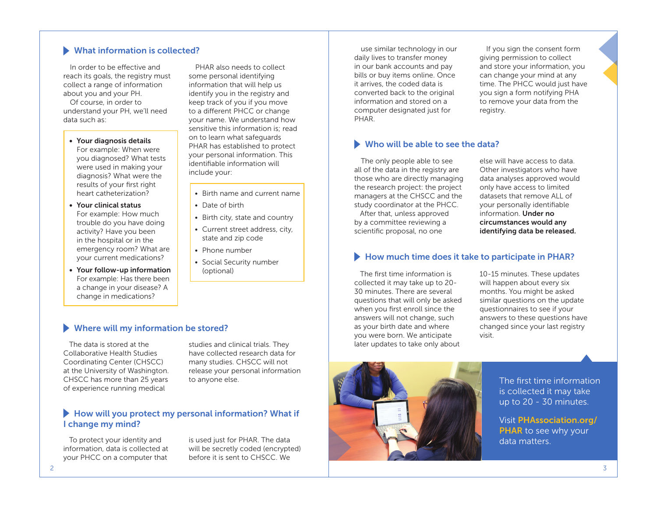# What information is collected?

In order to be effective and reach its goals, the registry must collect a range of information about you and your PH.

Of course, in order to understand your PH, we'll need data such as:

### • Your diagnosis details

For example: When were you diagnosed? What tests were used in making your diagnosis? What were the results of your first right heart catheterization?

• Your clinical status For example: How much trouble do you have doing activity? Have you been in the hospital or in the emergency room? What are your current medications?

• Your follow-up information For example: Has there been a change in your disease? A change in medications?

PHAR also needs to collect some personal identifying information that will help us identify you in the registry and keep track of you if you move to a different PHCC or change your name. We understand how sensitive this information is; read on to learn what safeguards PHAR has established to protect your personal information. This identifiable information will include your:

- Birth name and current name
- Date of birth
- Birth city, state and country
- Current street address, city, state and zip code
- Phone number
- Social Security number (optional)

use similar technology in our daily lives to transfer money in our bank accounts and pay bills or buy items online. Once it arrives, the coded data is converted back to the original information and stored on a computer designated just for PHAR.

If you sign the consent form giving permission to collect and store your information, you can change your mind at any time. The PHCC would just have you sign a form notifying PHA to remove your data from the registry.

#### Who will be able to see the data?

The only people able to see all of the data in the registry are those who are directly managing the research project: the project managers at the CHSCC and the study coordinator at the PHCC.

After that, unless approved by a committee reviewing a scientific proposal, no one

else will have access to data. Other investigators who have data analyses approved would only have access to limited datasets that remove ALL of your personally identifiable information. Under no circumstances would any identifying data be released.

## How much time does it take to participate in PHAR?

The first time information is collected it may take up to 20- 30 minutes. There are several questions that will only be asked when you first enroll since the answers will not change, such as your birth date and where you were born. We anticipate later updates to take only about

10-15 minutes. These updates will happen about every six months. You might be asked similar questions on the update questionnaires to see if your answers to these questions have changed since your last registry visit.



The first time information is collected it may take up to 20 - 30 minutes.

Visit [PHAssociation.org/](http://PHAssociation.org/PHAR) [PHAR](http://PHAssociation.org/PHAR) to see why your data matters.

#### Where will my information be stored?

The data is stored at the Collaborative Health Studies Coordinating Center (CHSCC) at the University of Washington. CHSCC has more than 25 years of experience running medical

studies and clinical trials. They have collected research data for many studies. CHSCC will not release your personal information to anyone else.

# How will you protect my personal information? What if I change my mind?

To protect your identity and information, data is collected at your PHCC on a computer that

is used just for PHAR. The data will be secretly coded (encrypted) before it is sent to CHSCC. We